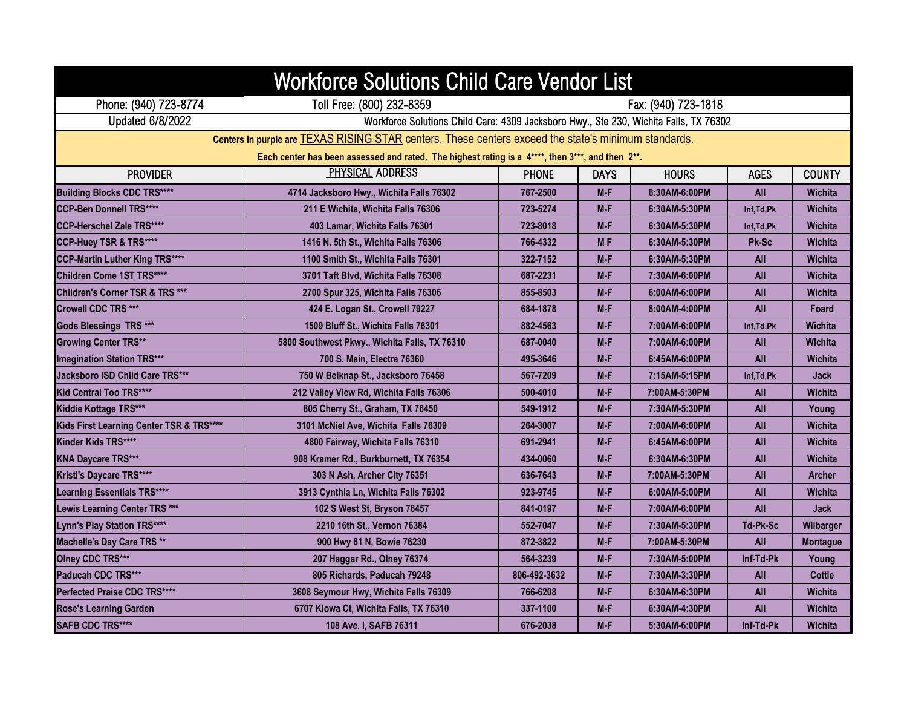| <b>Workforce Solutions Child Care Vendor List</b>                                                           |                                                                                       |                     |             |               |             |                 |  |
|-------------------------------------------------------------------------------------------------------------|---------------------------------------------------------------------------------------|---------------------|-------------|---------------|-------------|-----------------|--|
| Phone: (940) 723-8774                                                                                       | Toll Free: (800) 232-8359                                                             | Fax: (940) 723-1818 |             |               |             |                 |  |
| Updated 6/8/2022                                                                                            | Workforce Solutions Child Care: 4309 Jacksboro Hwy., Ste 230, Wichita Falls, TX 76302 |                     |             |               |             |                 |  |
| Centers in purple are <b>TEXAS RISING STAR</b> centers. These centers exceed the state's minimum standards. |                                                                                       |                     |             |               |             |                 |  |
| Each center has been assessed and rated. The highest rating is a 4****, then 3***, and then 2**.            |                                                                                       |                     |             |               |             |                 |  |
| <b>PROVIDER</b>                                                                                             | <b>PHYSICAL ADDRESS</b>                                                               | <b>PHONE</b>        | <b>DAYS</b> | <b>HOURS</b>  | <b>AGES</b> | <b>COUNTY</b>   |  |
| <b>Building Blocks CDC TRS****</b>                                                                          | 4714 Jacksboro Hwy., Wichita Falls 76302                                              | 767-2500            | $M-F$       | 6:30AM-6:00PM | All         | <b>Wichita</b>  |  |
| <b>CCP-Ben Donnell TRS****</b>                                                                              | 211 E Wichita, Wichita Falls 76306                                                    | 723-5274            | M-F         | 6:30AM-5:30PM | Inf, Td, Pk | <b>Wichita</b>  |  |
| <b>CCP-Herschel Zale TRS****</b>                                                                            | 403 Lamar, Wichita Falls 76301                                                        | 723-8018            | $M-F$       | 6:30AM-5:30PM | Inf, Td, Pk | <b>Wichita</b>  |  |
| CCP-Huey TSR & TRS****                                                                                      | 1416 N. 5th St., Wichita Falls 76306                                                  | 766-4332            | <b>MF</b>   | 6:30AM-5:30PM | Pk-Sc       | <b>Wichita</b>  |  |
| <b>CCP-Martin Luther King TRS****</b>                                                                       | 1100 Smith St., Wichita Falls 76301                                                   | 322-7152            | M-F         | 6:30AM-5:30PM | All         | <b>Wichita</b>  |  |
| <b>Children Come 1ST TRS****</b>                                                                            | 3701 Taft Blvd, Wichita Falls 76308                                                   | 687-2231            | $M-F$       | 7:30AM-6:00PM | All         | <b>Wichita</b>  |  |
| Children's Corner TSR & TRS ***                                                                             | 2700 Spur 325, Wichita Falls 76306                                                    | 855-8503            | $M-F$       | 6:00AM-6:00PM | All         | <b>Wichita</b>  |  |
| Crowell CDC TRS ***                                                                                         | 424 E. Logan St., Crowell 79227                                                       | 684-1878            | M-F         | 8:00AM-4:00PM | All         | Foard           |  |
| <b>Gods Blessings TRS ***</b>                                                                               | 1509 Bluff St., Wichita Falls 76301                                                   | 882-4563            | $M-F$       | 7:00AM-6:00PM | Inf.Td.Pk   | Wichita         |  |
| <b>Growing Center TRS**</b>                                                                                 | 5800 Southwest Pkwy., Wichita Falls, TX 76310                                         | 687-0040            | M-F         | 7:00AM-6:00PM | All         | Wichita         |  |
| <b>Imagination Station TRS***</b>                                                                           | 700 S. Main, Electra 76360                                                            | 495-3646            | M-F         | 6:45AM-6:00PM | All         | <b>Wichita</b>  |  |
| Jacksboro ISD Child Care TRS***                                                                             | 750 W Belknap St., Jacksboro 76458                                                    | 567-7209            | $M-F$       | 7:15AM-5:15PM | Inf.Td.Pk   | <b>Jack</b>     |  |
| Kid Central Too TRS****                                                                                     | 212 Valley View Rd, Wichita Falls 76306                                               | 500-4010            | $M-F$       | 7:00AM-5:30PM | All         | <b>Wichita</b>  |  |
| Kiddie Kottage TRS***                                                                                       | 805 Cherry St., Graham, TX 76450                                                      | 549-1912            | M-F         | 7:30AM-5:30PM | All         | Young           |  |
| Kids First Learning Center TSR & TRS****                                                                    | 3101 McNiel Ave, Wichita Falls 76309                                                  | 264-3007            | M-F         | 7:00AM-6:00PM | All         | Wichita         |  |
| Kinder Kids TRS****                                                                                         | 4800 Fairway, Wichita Falls 76310                                                     | 691-2941            | $M-F$       | 6:45AM-6:00PM | All         | <b>Wichita</b>  |  |
| <b>KNA Daycare TRS***</b>                                                                                   | 908 Kramer Rd., Burkburnett, TX 76354                                                 | 434-0060            | M-F         | 6:30AM-6:30PM | All         | <b>Wichita</b>  |  |
| Kristi's Daycare TRS****                                                                                    | 303 N Ash, Archer City 76351                                                          | 636-7643            | M-F         | 7:00AM-5:30PM | All         | <b>Archer</b>   |  |
| <b>Learning Essentials TRS****</b>                                                                          | 3913 Cynthia Ln, Wichita Falls 76302                                                  | 923-9745            | $M-F$       | 6:00AM-5:00PM | All         | <b>Wichita</b>  |  |
| Lewis Learning Center TRS ***                                                                               | 102 S West St, Bryson 76457                                                           | 841-0197            | M-F         | 7:00AM-6:00PM | All         | <b>Jack</b>     |  |
| Lynn's Play Station TRS****                                                                                 | 2210 16th St., Vernon 76384                                                           | 552-7047            | $M-F$       | 7:30AM-5:30PM | Td-Pk-Sc    | Wilbarger       |  |
| Machelle's Day Care TRS **                                                                                  | 900 Hwy 81 N, Bowie 76230                                                             | 872-3822            | $M-F$       | 7:00AM-5:30PM | All         | <b>Montague</b> |  |
| <b>Olney CDC TRS***</b>                                                                                     | 207 Haggar Rd., Olney 76374                                                           | 564-3239            | $M-F$       | 7:30AM-5:00PM | Inf-Td-Pk   | Young           |  |
| Paducah CDC TRS***                                                                                          | 805 Richards, Paducah 79248                                                           | 806-492-3632        | $M-F$       | 7:30AM-3:30PM | All         | Cottle          |  |
| Perfected Praise CDC TRS****                                                                                | 3608 Seymour Hwy, Wichita Falls 76309                                                 | 766-6208            | M-F         | 6:30AM-6:30PM | All         | <b>Wichita</b>  |  |
| <b>Rose's Learning Garden</b>                                                                               | 6707 Kiowa Ct, Wichita Falls, TX 76310                                                | 337-1100            | M-F         | 6:30AM-4:30PM | All         | Wichita         |  |
| <b>SAFB CDC TRS****</b>                                                                                     | 108 Ave. I, SAFB 76311                                                                | 676-2038            | $M-F$       | 5:30AM-6:00PM | Inf-Td-Pk   | Wichita         |  |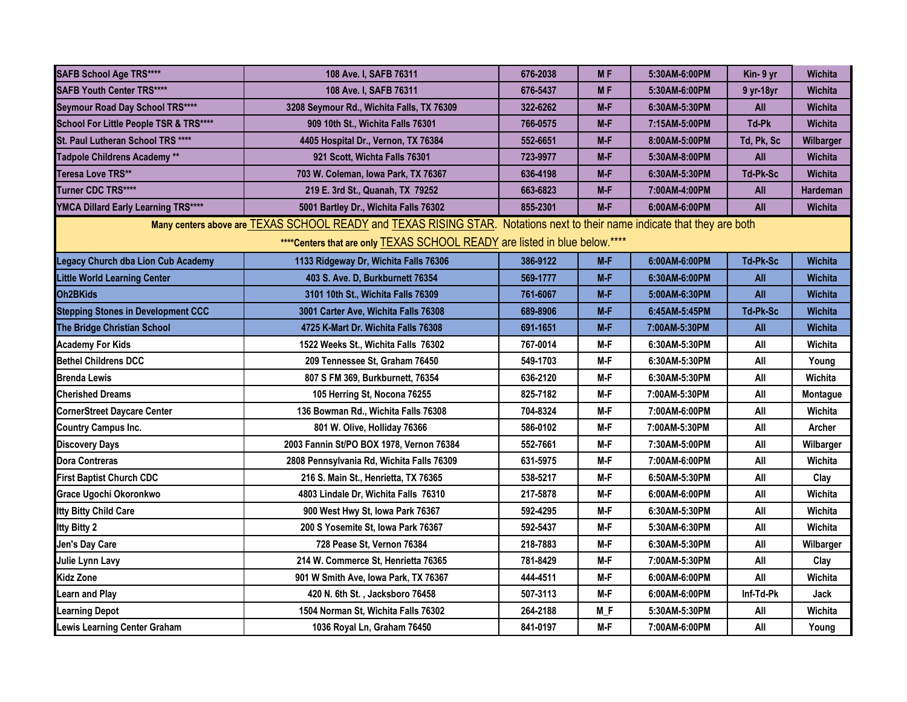| <b>SAFB School Age TRS****</b>                                              | 108 Ave. I, SAFB 76311                                                                                                    | 676-2038 | <b>MF</b> | 5:30AM-6:00PM | Kin- 9 yr       | <b>Wichita</b> |  |
|-----------------------------------------------------------------------------|---------------------------------------------------------------------------------------------------------------------------|----------|-----------|---------------|-----------------|----------------|--|
| <b>SAFB Youth Center TRS****</b>                                            | 108 Ave. I, SAFB 76311                                                                                                    | 676-5437 | <b>MF</b> | 5:30AM-6:00PM | 9 yr-18yr       | Wichita        |  |
| Seymour Road Day School TRS****                                             | 3208 Seymour Rd., Wichita Falls, TX 76309                                                                                 | 322-6262 | M-F       | 6:30AM-5:30PM | All             | <b>Wichita</b> |  |
| School For Little People TSR & TRS****                                      | 909 10th St., Wichita Falls 76301                                                                                         | 766-0575 | M-F       | 7:15AM-5:00PM | Td-Pk           | <b>Wichita</b> |  |
| St. Paul Lutheran School TRS ****                                           | 4405 Hospital Dr., Vernon, TX 76384                                                                                       | 552-6651 | $M-F$     | 8:00AM-5:00PM | Td, Pk, Sc      | Wilbarger      |  |
| Tadpole Childrens Academy **                                                | 921 Scott, Wichta Falls 76301                                                                                             | 723-9977 | M-F       | 5:30AM-8:00PM | All             | <b>Wichita</b> |  |
| Teresa Love TRS**                                                           | 703 W. Coleman, Iowa Park, TX 76367                                                                                       | 636-4198 | M-F       | 6:30AM-5:30PM | Td-Pk-Sc        | Wichita        |  |
| Turner CDC TRS****                                                          | 219 E. 3rd St., Quanah, TX 79252                                                                                          | 663-6823 | $M-F$     | 7:00AM-4:00PM | All             | Hardeman       |  |
| YMCA Dillard Early Learning TRS****                                         | 5001 Bartley Dr., Wichita Falls 76302                                                                                     | 855-2301 | $M-F$     | 6:00AM-6:00PM | All             | <b>Wichita</b> |  |
|                                                                             | Many centers above are TEXAS SCHOOL READY and TEXAS RISING STAR. Notations next to their name indicate that they are both |          |           |               |                 |                |  |
| **** Centers that are only TEXAS SCHOOL READY are listed in blue below.**** |                                                                                                                           |          |           |               |                 |                |  |
| <b>Legacy Church dba Lion Cub Academy</b>                                   | 1133 Ridgeway Dr, Wichita Falls 76306                                                                                     | 386-9122 | $M-F$     | 6:00AM-6:00PM | Td-Pk-Sc        | <b>Wichita</b> |  |
| <b>Little World Learning Center</b>                                         | 403 S. Ave. D. Burkburnett 76354                                                                                          | 569-1777 | $M-F$     | 6:30AM-6:00PM | All             | Wichita        |  |
| Oh <sub>2</sub> BKids                                                       | 3101 10th St., Wichita Falls 76309                                                                                        | 761-6067 | $M-F$     | 5:00AM-6:30PM | All             | <b>Wichita</b> |  |
| <b>Stepping Stones in Development CCC</b>                                   | 3001 Carter Ave, Wichita Falls 76308                                                                                      | 689-8906 | $M-F$     | 6:45AM-5:45PM | <b>Td-Pk-Sc</b> | <b>Wichita</b> |  |
| The Bridge Christian School                                                 | 4725 K-Mart Dr. Wichita Falls 76308                                                                                       | 691-1651 | $M-F$     | 7:00AM-5:30PM | All             | Wichita        |  |
| <b>Academy For Kids</b>                                                     | 1522 Weeks St., Wichita Falls 76302                                                                                       | 767-0014 | M-F       | 6:30AM-5:30PM | All             | Wichita        |  |
| <b>Bethel Childrens DCC</b>                                                 | 209 Tennessee St. Graham 76450                                                                                            | 549-1703 | M-F       | 6:30AM-5:30PM | All             | Young          |  |
| <b>Brenda Lewis</b>                                                         | 807 S FM 369, Burkburnett, 76354                                                                                          | 636-2120 | $M-F$     | 6:30AM-5:30PM | All             | Wichita        |  |
| <b>Cherished Dreams</b>                                                     | 105 Herring St, Nocona 76255                                                                                              | 825-7182 | M-F       | 7:00AM-5:30PM | All             | Montague       |  |
| <b>CornerStreet Daycare Center</b>                                          | 136 Bowman Rd., Wichita Falls 76308                                                                                       | 704-8324 | M-F       | 7:00AM-6:00PM | All             | Wichita        |  |
| <b>Country Campus Inc.</b>                                                  | 801 W. Olive, Holliday 76366                                                                                              | 586-0102 | M-F       | 7:00AM-5:30PM | All             | Archer         |  |
| <b>Discovery Days</b>                                                       | 2003 Fannin St/PO BOX 1978, Vernon 76384                                                                                  | 552-7661 | M-F       | 7:30AM-5:00PM | All             | Wilbarger      |  |
| <b>Dora Contreras</b>                                                       | 2808 Pennsylvania Rd, Wichita Falls 76309                                                                                 | 631-5975 | M-F       | 7:00AM-6:00PM | All             | Wichita        |  |
| <b>First Baptist Church CDC</b>                                             | 216 S. Main St., Henrietta, TX 76365                                                                                      | 538-5217 | $M-F$     | 6:50AM-5:30PM | All             | Clay           |  |
| Grace Ugochi Okoronkwo                                                      | 4803 Lindale Dr, Wichita Falls 76310                                                                                      | 217-5878 | M-F       | 6:00AM-6:00PM | All             | Wichita        |  |
| Itty Bitty Child Care                                                       | 900 West Hwy St, Iowa Park 76367                                                                                          | 592-4295 | M-F       | 6:30AM-5:30PM | All             | Wichita        |  |
| <b>Itty Bitty 2</b>                                                         | 200 S Yosemite St, Iowa Park 76367                                                                                        | 592-5437 | $M-F$     | 5:30AM-6:30PM | All             | Wichita        |  |
| Jen's Day Care                                                              | 728 Pease St, Vernon 76384                                                                                                | 218-7883 | M-F       | 6:30AM-5:30PM | All             | Wilbarger      |  |
| Julie Lynn Lavy                                                             | 214 W. Commerce St. Henrietta 76365                                                                                       | 781-8429 | $M-F$     | 7:00AM-5:30PM | All             | Clay           |  |
| <b>Kidz Zone</b>                                                            | 901 W Smith Ave, Iowa Park, TX 76367                                                                                      | 444-4511 | $M-F$     | 6:00AM-6:00PM | All             | Wichita        |  |
| <b>Learn and Play</b>                                                       | 420 N. 6th St., Jacksboro 76458                                                                                           | 507-3113 | M-F       | 6:00AM-6:00PM | Inf-Td-Pk       | <b>Jack</b>    |  |
| <b>Learning Depot</b>                                                       | 1504 Norman St, Wichita Falls 76302                                                                                       | 264-2188 | $M_F$     | 5:30AM-5:30PM | All             | Wichita        |  |
| <b>Lewis Learning Center Graham</b>                                         | 1036 Royal Ln, Graham 76450                                                                                               | 841-0197 | $M-F$     | 7:00AM-6:00PM | All             | Young          |  |